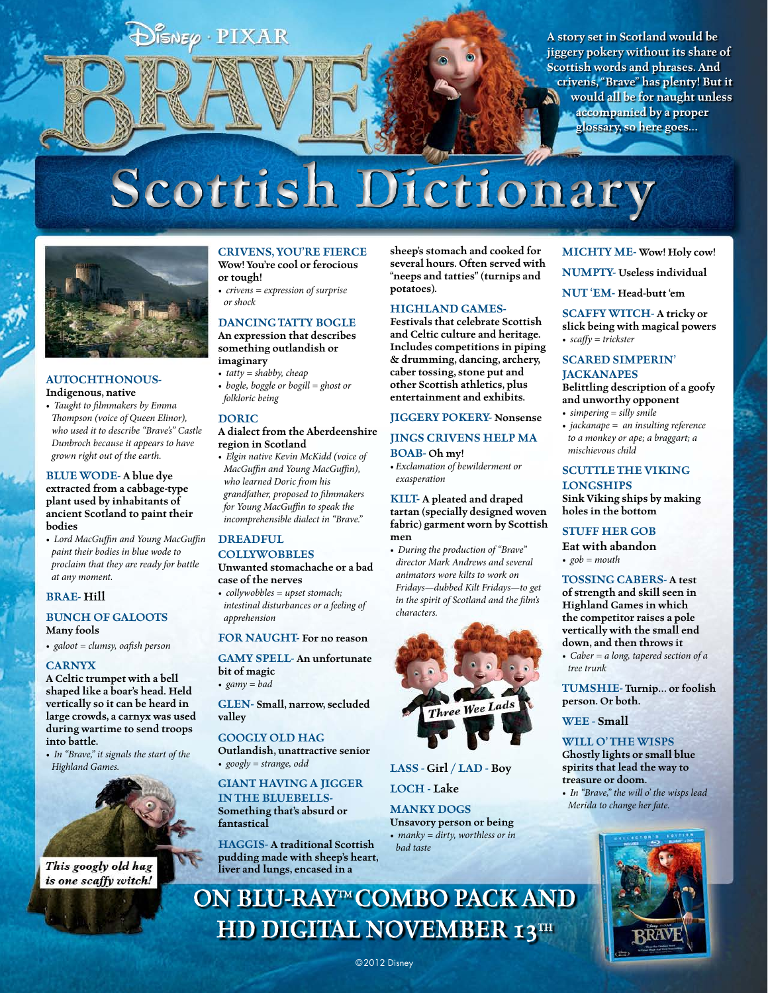$\mathsf{SNE}\varphi\cdot\mathbf{PIXAR}$ 

**A story set in Scotland would be jiggery pokery without its share of Scottish words and phrases. And crivens, "Brave" has plenty! But it would all be for naught unless accompanied by a proper glossary, so here goes…**

# **Scottish Dictionary**



#### **AUTOCHTHONOUS-Indigenous, native**

*• Taught to filmmakers by Emma Thompson (voice of Queen Elinor), who used it to describe "Brave's" Castle Dunbroch because it appears to have grown right out of the earth.*

#### **BLUE WODE- A blue dye extracted from a cabbage-type plant used by inhabitants of ancient Scotland to paint their bodies**

*• Lord MacGuffin and Young MacGuffin paint their bodies in blue wode to proclaim that they are ready for battle at any moment.*

#### **BRAE- Hill**

#### **BUNCH OF GALOOTS Many fools**

*• galoot = clumsy, oafish person*

#### **CARNYX**

**A Celtic trumpet with a bell shaped like a boar's head. Held vertically so it can be heard in large crowds, a carnyx was used during wartime to send troops into battle.** 

*• In "Brave," it signals the start of the Highland Games.*



This googly old hag is one scaffy witch!

#### **CRIVENS, YOU'RE FIERCE Wow! You're cool or ferocious**

- **or tough!** *• crivens = expression of surprise or shock*
- **DANCING TATTY BOGLE**

**An expression that describes something outlandish or imaginary**

- *• tatty = shabby, cheap*
- *• bogle, boggle or bogill = ghost or folkloric being*

#### **DORIC**

#### **A dialect from the Aberdeenshire region in Scotland**

*• Elgin native Kevin McKidd (voice of MacGuffin and Young MacGuffin), who learned Doric from his grandfather, proposed to filmmakers for Young MacGuffin to speak the incomprehensible dialect in "Brave."*

#### **DREADFUL**

**COLLYWOBBLES Unwanted stomachache or a bad case of the nerves**

*• collywobbles = upset stomach; intestinal disturbances or a feeling of apprehension*

#### **FOR NAUGHT- For no reason**

**GAMY SPELL- An unfortunate bit of magic**

*• gamy = bad*

**GLEN- Small, narrow, secluded valley**

#### **GOOGLY OLD HAG**

**Outlandish, unattractive senior** *• googly = strange, odd*

#### **GIANT HAVING A JIGGER IN THE BLUEBELLS-**

**Something that's absurd or fantastical**

**HAGGIS- A traditional Scottish pudding made with sheep's heart, liver and lungs, encased in a** 

**sheep's stomach and cooked for several hours. Often served with "neeps and tatties" (turnips and potatoes).**

#### **HIGHLAND GAMES-**

**Festivals that celebrate Scottish and Celtic culture and heritage. Includes competitions in piping & drumming, dancing, archery, caber tossing, stone put and other Scottish athletics, plus entertainment and exhibits.**

### **JIGGERY POKERY- Nonsense**

#### **JINGS CRIVENS HELP MA BOAB- Oh my!**

*• Exclamation of bewilderment or exasperation*

**KILT- A pleated and draped tartan (specially designed woven fabric) garment worn by Scottish men**

*• During the production of "Brave" director Mark Andrews and several animators wore kilts to work on Fridays—dubbed Kilt Fridays—to get in the spirit of Scotland and the film's characters.*



#### **LASS - Girl / LAD - Boy**

**LOCH - Lake**

**MANKY DOGS Unsavory person or being** *• manky = dirty, worthless or in*

*bad taste*

**MICHTY ME- Wow! Holy cow!** 

**NUMPTY- Useless individual**

**NUT 'EM- Head-butt 'em**

**SCAFFY WITCH- A tricky or slick being with magical powers** *• scaffy = trickster*

#### **SCARED SIMPERIN' JACKANAPES**

**Belittling description of a goofy and unworthy opponent**

- *• simpering = silly smile*
- *• jackanape = an insulting reference to a monkey or ape; a braggart; a mischievous child*

#### **SCUTTLE THE VIKING LONGSHIPS Sink Viking ships by making**

**holes in the bottom**

#### **STUFF HER GOB Eat with abandon**

*• gob = mouth*

**TOSSING CABERS- A test of strength and skill seen in Highland Games in which the competitor raises a pole vertically with the small end down, and then throws it**

*• Caber = a long, tapered section of a tree trunk*

**TUMSHIE- Turnip… or foolish person. Or both.**

**WEE - Small**

#### **WILL O' THE WISPS**

**Ghostly lights or small blue spirits that lead the way to treasure or doom.** 

*• In "Brave," the will o' the wisps lead Merida to change her fate.*



**ON BLU-RAY™ COMBO PACK AND HD DIGITAL NOVEMBER 13TH**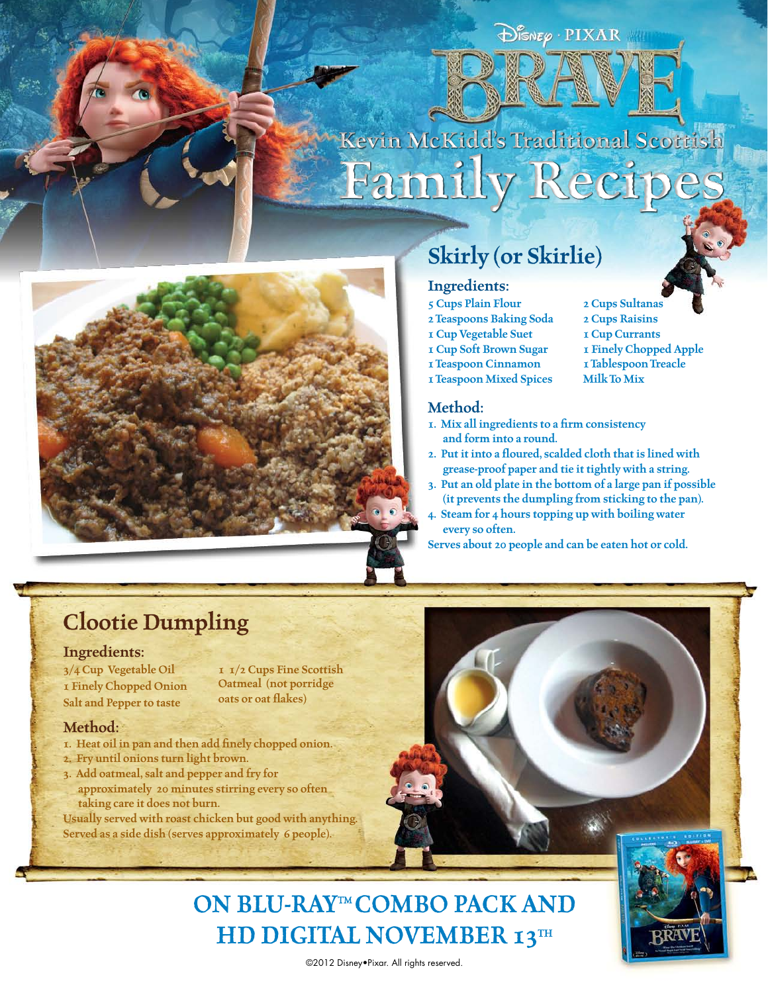$\bigoplus_{i=1}^{\infty}$   $\mathbb{P} \text{IXAR}$ 

## **Kevin McKidd's Traditional Scottish Family Recipes**



## **Skirly (or Skirlie)**

#### **Ingredients:**

- **5 Cups Plain Flour**
- **2 Teaspoons Baking Soda**
- **1 Cup Vegetable Suet**
- **1 Cup Soft Brown Sugar**
- **1 Teaspoon Cinnamon**
- **1 Teaspoon Mixed Spices**

#### **Method:**

- **1. Mix all ingredients to a firm consistency and form into a round.**
- **2. Put it into a floured, scalded cloth that is lined with grease-proof paper and tie it tightly with a string.**
- **3. Put an old plate in the bottom of a large pan if possible (it prevents the dumpling from sticking to the pan).**
- **4. Steam for 4 hours topping up with boiling water every so often.**

**Serves about 20 people and can be eaten hot or cold.**

## **Clootie Dumpling**

#### **Ingredients:**

**3/4 Cup Vegetable Oil 1 Finely Chopped Onion Salt and Pepper to taste** 

**1 1/2 Cups Fine Scottish Oatmeal (not porridge oats or oat flakes)**

#### **Method:**

- **1. Heat oil in pan and then add finely chopped onion.**
- **2. Fry until onions turn light brown.**
- **3. Add oatmeal, salt and pepper and fry for**
- **approximately 20 minutes stirring every so often taking care it does not burn.**
- **Usually served with roast chicken but good with anything. Served as a side dish (serves approximately 6 people).**



## **ON BLU-RAY™ COMBO PACK AND HD DIGITAL NOVEMBER 13TH**



©2012 Disney•Pixar. All rights reserved.

**2 Cups Raisins 1 Cup Currants**

**2 Cups Sultanas**

- **1 Finely Chopped Apple 1 Tablespoon Treacle**
- **Milk To Mix**